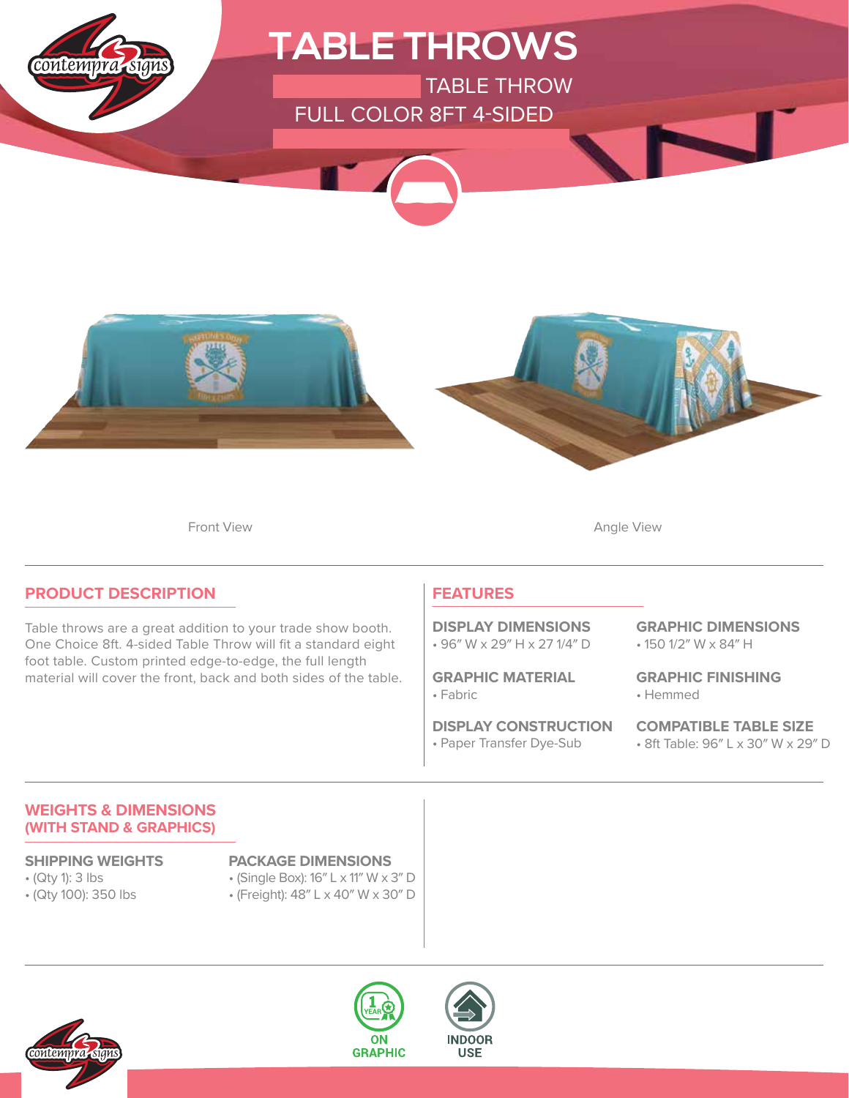

Front View **Angle View Angle View** 

### **PRODUCT DESCRIPTION**

Table throws are a great addition to your trade show booth. One Choice 8ft. 4-sided Table Throw will fit a standard eight foot table. Custom printed edge-to-edge, the full length material will cover the front, back and both sides of the table.

### **FEATURES**

• 96″ W x 29″ H x 27 1/4″ D **DISPLAY DIMENSIONS**

• Fabric **GRAPHIC MATERIAL**

• Paper Transfer Dye-Sub **DISPLAY CONSTRUCTION** • 150 1/2″ W x 84″ H **GRAPHIC DIMENSIONS**

• Hemmed **GRAPHIC FINISHING**

• 8ft Table: 96″ L x 30″ W x 29″ D **COMPATIBLE TABLE SIZE**

### **WEIGHTS & DIMENSIONS (WITH STAND & GRAPHICS)**

- (Qty 1): 3 lbs
- (Qty 100): 350 lbs

### **SHIPPING WEIGHTS PACKAGE DIMENSIONS**

- (Single Box): 16″ L x 11″ W x 3″ D
- (Freight): 48″ L x 40″ W x 30″ D